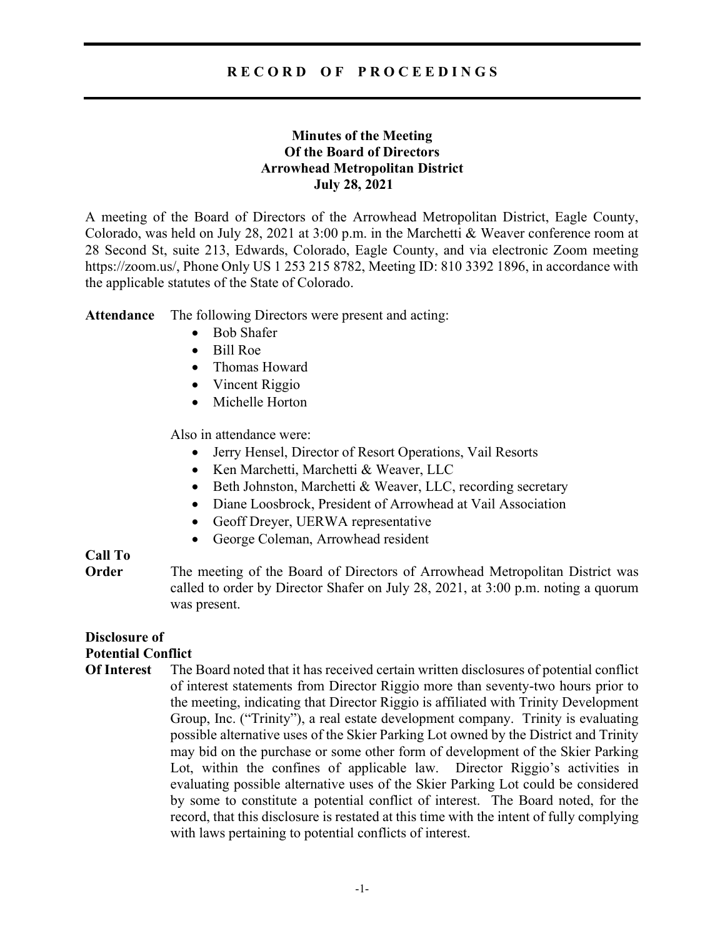### R E C O R D O F P R O C E E D I N G S

#### Minutes of the Meeting Of the Board of Directors Arrowhead Metropolitan District July 28, 2021

A meeting of the Board of Directors of the Arrowhead Metropolitan District, Eagle County, Colorado, was held on July 28, 2021 at 3:00 p.m. in the Marchetti & Weaver conference room at 28 Second St, suite 213, Edwards, Colorado, Eagle County, and via electronic Zoom meeting https://zoom.us/, Phone Only US 1 253 215 8782, Meeting ID: 810 3392 1896, in accordance with the applicable statutes of the State of Colorado.

Attendance The following Directors were present and acting:

- Bob Shafer
- Bill Roe
- Thomas Howard
- Vincent Riggio
- Michelle Horton

Also in attendance were:

- Jerry Hensel, Director of Resort Operations, Vail Resorts
- Ken Marchetti, Marchetti & Weaver, LLC
- Beth Johnston, Marchetti & Weaver, LLC, recording secretary
- Diane Loosbrock, President of Arrowhead at Vail Association
- Geoff Dreyer, UERWA representative
- George Coleman, Arrowhead resident

# Call To

**Order** The meeting of the Board of Directors of Arrowhead Metropolitan District was called to order by Director Shafer on July 28, 2021, at 3:00 p.m. noting a quorum was present.

#### Disclosure of Potential Conflict

Of Interest The Board noted that it has received certain written disclosures of potential conflict of interest statements from Director Riggio more than seventy-two hours prior to the meeting, indicating that Director Riggio is affiliated with Trinity Development Group, Inc. ("Trinity"), a real estate development company. Trinity is evaluating possible alternative uses of the Skier Parking Lot owned by the District and Trinity may bid on the purchase or some other form of development of the Skier Parking Lot, within the confines of applicable law. Director Riggio's activities in evaluating possible alternative uses of the Skier Parking Lot could be considered by some to constitute a potential conflict of interest. The Board noted, for the record, that this disclosure is restated at this time with the intent of fully complying with laws pertaining to potential conflicts of interest.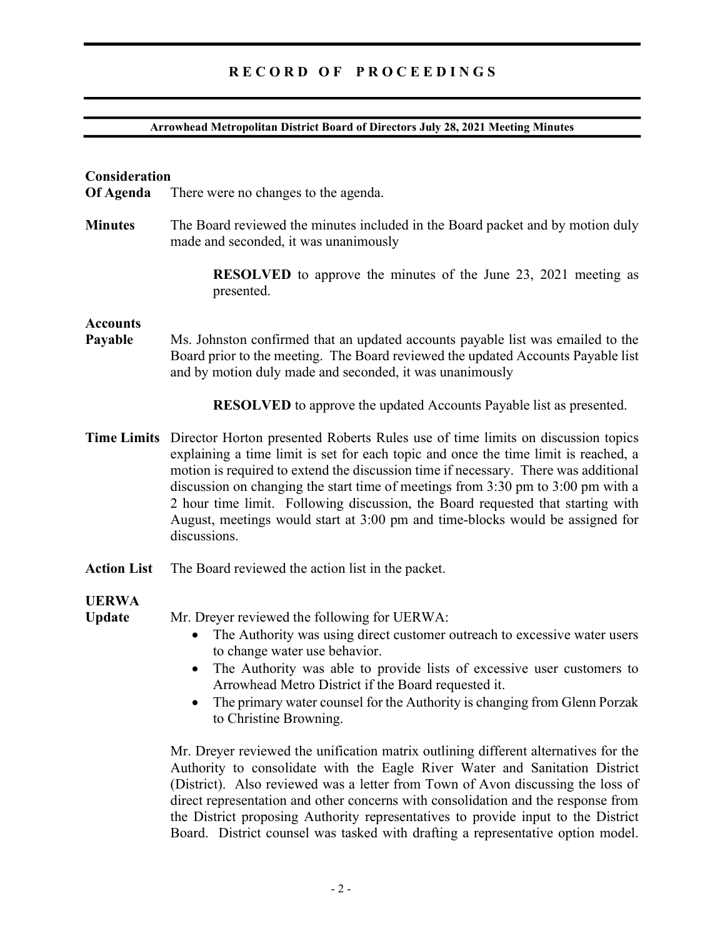### RECORD OF PROCEEDINGS

#### Arrowhead Metropolitan District Board of Directors July 28, 2021 Meeting Minutes

#### Consideration

Of Agenda There were no changes to the agenda.

Minutes The Board reviewed the minutes included in the Board packet and by motion duly made and seconded, it was unanimously

> RESOLVED to approve the minutes of the June 23, 2021 meeting as presented.

#### **Accounts**

Payable Ms. Johnston confirmed that an updated accounts payable list was emailed to the Board prior to the meeting. The Board reviewed the updated Accounts Payable list and by motion duly made and seconded, it was unanimously

RESOLVED to approve the updated Accounts Payable list as presented.

- Time Limits Director Horton presented Roberts Rules use of time limits on discussion topics explaining a time limit is set for each topic and once the time limit is reached, a motion is required to extend the discussion time if necessary. There was additional discussion on changing the start time of meetings from 3:30 pm to 3:00 pm with a 2 hour time limit. Following discussion, the Board requested that starting with August, meetings would start at 3:00 pm and time-blocks would be assigned for discussions.
- Action List The Board reviewed the action list in the packet.

#### UERWA

Update Mr. Dreyer reviewed the following for UERWA:

- The Authority was using direct customer outreach to excessive water users to change water use behavior.
- The Authority was able to provide lists of excessive user customers to Arrowhead Metro District if the Board requested it.
- The primary water counsel for the Authority is changing from Glenn Porzak to Christine Browning.

Mr. Dreyer reviewed the unification matrix outlining different alternatives for the Authority to consolidate with the Eagle River Water and Sanitation District (District). Also reviewed was a letter from Town of Avon discussing the loss of direct representation and other concerns with consolidation and the response from the District proposing Authority representatives to provide input to the District Board. District counsel was tasked with drafting a representative option model.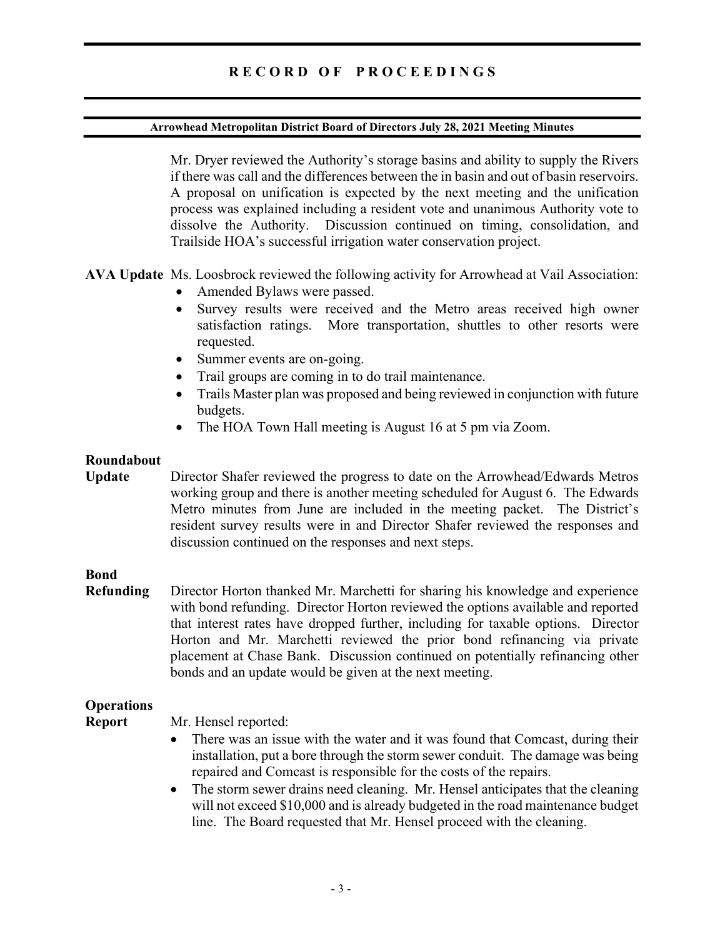#### Arrowhead Metropolitan District Board of Directors July 28, 2021 Meeting Minutes

Mr. Dryer reviewed the Authority's storage basins and ability to supply the Rivers if there was call and the differences between the in basin and out of basin reservoirs. A proposal on unification is expected by the next meeting and the unification process was explained including a resident vote and unanimous Authority vote to dissolve the Authority. Discussion continued on timing, consolidation, and Trailside HOA's successful irrigation water conservation project.

AVA Update Ms. Loosbrock reviewed the following activity for Arrowhead at Vail Association:

- Amended Bylaws were passed.
- Survey results were received and the Metro areas received high owner satisfaction ratings. More transportation, shuttles to other resorts were requested.
- Summer events are on-going.
- Trail groups are coming in to do trail maintenance.
- Trails Master plan was proposed and being reviewed in conjunction with future budgets.
- The HOA Town Hall meeting is August 16 at 5 pm via Zoom.

# Roundabout

Update Director Shafer reviewed the progress to date on the Arrowhead/Edwards Metros working group and there is another meeting scheduled for August 6. The Edwards Metro minutes from June are included in the meeting packet. The District's resident survey results were in and Director Shafer reviewed the responses and discussion continued on the responses and next steps.

# Bond

Refunding Director Horton thanked Mr. Marchetti for sharing his knowledge and experience with bond refunding. Director Horton reviewed the options available and reported that interest rates have dropped further, including for taxable options. Director Horton and Mr. Marchetti reviewed the prior bond refinancing via private placement at Chase Bank. Discussion continued on potentially refinancing other bonds and an update would be given at the next meeting.

# **Operations**

#### Report Mr. Hensel reported:

- There was an issue with the water and it was found that Comcast, during their installation, put a bore through the storm sewer conduit. The damage was being repaired and Comcast is responsible for the costs of the repairs.
- The storm sewer drains need cleaning. Mr. Hensel anticipates that the cleaning will not exceed \$10,000 and is already budgeted in the road maintenance budget line. The Board requested that Mr. Hensel proceed with the cleaning.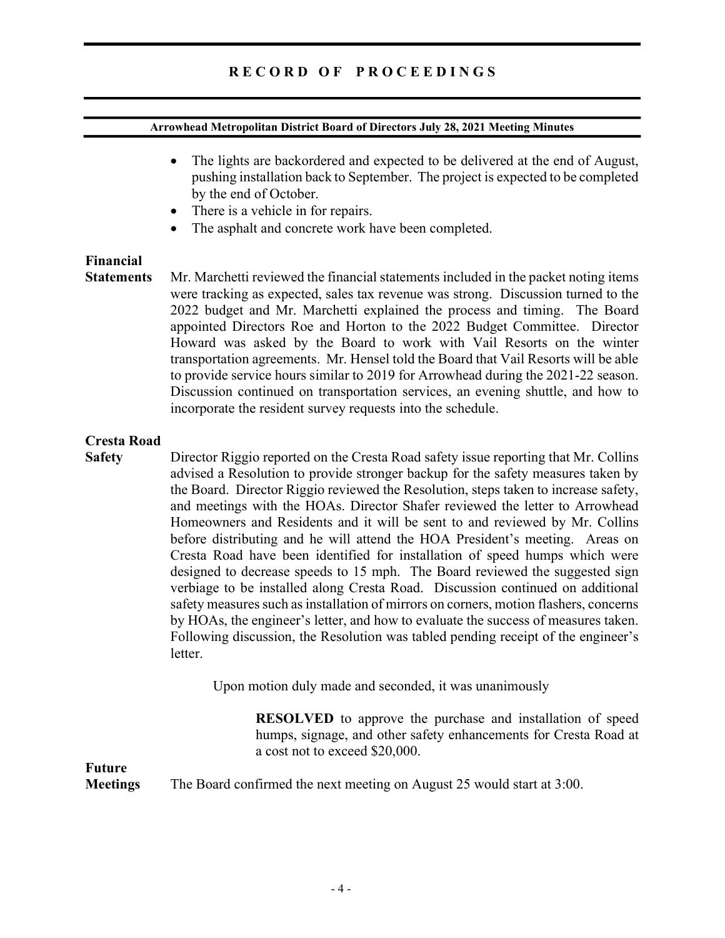### R E C O R D O F P R O C E E D I N G S

#### Arrowhead Metropolitan District Board of Directors July 28, 2021 Meeting Minutes

- The lights are backordered and expected to be delivered at the end of August, pushing installation back to September. The project is expected to be completed by the end of October.
- There is a vehicle in for repairs.
- The asphalt and concrete work have been completed.

# Financial

Statements Mr. Marchetti reviewed the financial statements included in the packet noting items were tracking as expected, sales tax revenue was strong. Discussion turned to the 2022 budget and Mr. Marchetti explained the process and timing. The Board appointed Directors Roe and Horton to the 2022 Budget Committee. Director Howard was asked by the Board to work with Vail Resorts on the winter transportation agreements. Mr. Hensel told the Board that Vail Resorts will be able to provide service hours similar to 2019 for Arrowhead during the 2021-22 season. Discussion continued on transportation services, an evening shuttle, and how to incorporate the resident survey requests into the schedule.

#### Cresta Road

Safety Director Riggio reported on the Cresta Road safety issue reporting that Mr. Collins advised a Resolution to provide stronger backup for the safety measures taken by the Board. Director Riggio reviewed the Resolution, steps taken to increase safety, and meetings with the HOAs. Director Shafer reviewed the letter to Arrowhead Homeowners and Residents and it will be sent to and reviewed by Mr. Collins before distributing and he will attend the HOA President's meeting. Areas on Cresta Road have been identified for installation of speed humps which were designed to decrease speeds to 15 mph. The Board reviewed the suggested sign verbiage to be installed along Cresta Road. Discussion continued on additional safety measures such as installation of mirrors on corners, motion flashers, concerns by HOAs, the engineer's letter, and how to evaluate the success of measures taken. Following discussion, the Resolution was tabled pending receipt of the engineer's letter.

Upon motion duly made and seconded, it was unanimously

 RESOLVED to approve the purchase and installation of speed humps, signage, and other safety enhancements for Cresta Road at a cost not to exceed \$20,000.

Future

Meetings The Board confirmed the next meeting on August 25 would start at 3:00.